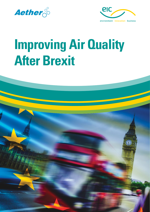



# **Improving Air Quality After Brexit**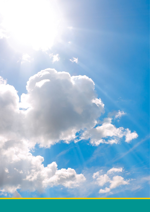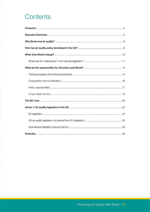# Contents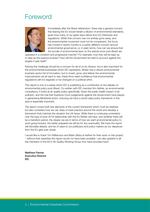### Foreword



Immediately after the Brexit referendum, there was a general concern that leaving the EU would herald a dilution of environmental standards, given how many of our green laws derive from EU Directives and regulations. While that concern has not entirely gone away, and the environmental movement must not be complacent, the focus has moved in recent months to a subtly different concern around environmental governance, or, in plain terms, how can we ensure that the bundle of environmental laws on the statute book post-Brexit are

operated in a coherent and progressive manner? For example, how they will be kept up to date as the science evolves? How will the Government be held to account against the targets it sets itself?

Solving this challenge should be a concern for all of us as citizens, but is also important for the environmental businesses which EIC represents. Britain has a vibrant environmental business sector full of innovation, but to invest, grow, and deliver the environmental improvements we all want to see, these firms need confidence that environmental regulations will not stagnate or be changed on a political whim.

This report is one of a series which EIC is publishing as a contribution to the debate on environmental policy post-Brexit. Co-written with EIC member firm Aether, an environmental consultancy, it looks at air quality policy specifically. Given the public health impact of air pollution, and the role that Supreme Court judgements against the Government have played in galvanising Ministerial action, ensuring we have a world-class policy framework in this area is especially important.

The report covers both key elements of the current framework which must be retained, but also considers how we can draw on best practice around the world and develop a framework that matches the situation the UK faces. While there is continuing uncertainty over the type of post-2019 relationship with the EU Britain will have, and whether there will be a transition period, the clearer we are in terms of how we want environmental policy to work going forward, the better prepared we will be for any eventuality. We hope the report will stimulate debate, and be of value to our politicians and policy makers as our departure from the EU gets ever closer.

I would like to thank Tim Williamson and Mark Gibbs at Aether for their work on this project – without their expertise this report would not have been possible. I am also grateful to all the members of the EIC's Air Quality Working Group who have provided input.

Matthew Farrow Executive Director **EIC**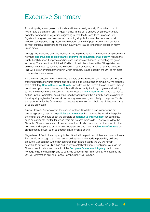### Executive Summary

Poor air quality is recognised nationally and internationally as a significant risk to public health<sup>1</sup> and the environment. Air quality policy in the UK is shaped by an extensive and complex framework of legislation originating in both the UK and from European Law. Significant progress has been made in reducing air pollution over the decades but air pollution still imposes a significant health burden on the UK population and we are failing to meet our legal obligations to meet air quality Limit Values for nitrogen dioxide in many urban areas.

Through the legislative changes required in the implementation of Brexit, the UK Government now has opportunities to significantly improve the regulation of air quality, reduce the public health burden it imposes and increase business confidence, stimulating the green economy. The extent to which the UK will continue to be influenced by EU legislation and enforcement systems, such as the European Court of Justice (ECJ), remains to be seen. This will profoundly impact the way in which air quality is addressed in the UK, as for most other environmental areas.

An overriding question is how to replace the role of the European Commission and ECJ in tracking progress towards targets and enforcing legal obligations on air quality. We propose that a statutory Committee on Air Quality, modelled on the Committee on Climate Change, could take up some of this role, publicly and independently tracking progress and helping to hold the Government to account. This will require a new Clean Air Act which, as well as setting up the Committee, could bring together and update the currently disparate parts of the air quality legislative framework, increasing transparency and clarity of purpose. This is the opportunity for the Government to re-state its intention to uphold the highest standards of public protection.

A new Clean Air Act also offers the chance for the UK to take a lead in innovative air quality legislation, drawing on policies and measures from across the world. A bespoke system for the UK could adopt the principle of continuous improvement for pollutants, such as particulate matter, for which there are no safe thresholds<sup>2</sup>. This would follow the Canadian Government's lead. A new approach could also draw on practices used in other countries and regions to provide clear, independent and meaningful routes of redress on environmental issues, such as through environmental courts.

Regardless of Brexit, the air quality in the UK will still be profoundly influenced by continental Europe, either through the movement of polluted air or the trade in potentially polluting products. Cooperation with other countries both in and outside the EU will remain essential to protecting UK public and environmental health from air pollution. We urge the Government to retain membership of the European Environment Agency, which does not require EU membership, and to continue cooperating in international fora such as the UNECE Convention on Long Range Transboundary Air Pollution.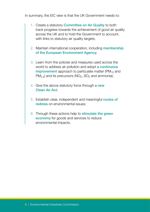In summary, the EIC view is that the UK Government needs to:

- 1. Create a statutory Committee on Air Quality to both track progress towards the achievement of good air quality across the UK and to hold the Government to account, with links to statutory air quality targets;
- 2. Maintain international cooperation, including membership of the European Environment Agency;
- 3. Learn from the policies and measures used across the world to address air pollution and adopt a **continuous improvement** approach to particulate matter ( $PM_{10}$  and  $PM_{2.5}$ ) and its precursors (NO<sub>2</sub>, SO<sub>2</sub> and ammonia);
- 4. Give the above statutory force through a new Clean Air Act;
- 5. Establish clear, independent and meaningful routes of redress on environmental issues;
- 6. Through these actions help to stimulate the green economy for goods and services to reduce environmental impacts.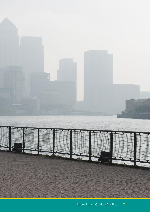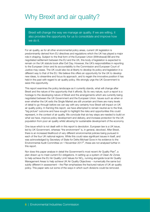### Why Brexit and air quality?

Brexit will change the way we manage air quality. If we are willing, it also provides the opportunity for us to consolidate and improve how we do it.

For air quality, as for all other environmental policy areas, current UK legislation is predominantly derived from EU directives and regulations which the UK has played a major role in shaping. Subject to the final form of the European Union (Withdrawal) Bill and the negotiated settlement between the EU and the UK, this body of legislation is expected to remain on the UK statute book after Exit Day. However, the UK's responsibilities in reporting to the European Union and its accountability to the Commission and European Court of Justice may cease. The UK could also be at liberty to develop its policy and legislation in a different way to that of the EU. We believe this offers an opportunity for the UK to develop new ideas, to streamline and focus its approach, and to regain the innovative position it has held in the past with regard to air quality policy. We strongly urge the UK Government to seize this opportunity.

This report examines the policy landscape as it currently stands, what will change after Brexit and the nature of the opportunity that it affords. By its very nature, such a report is a hostage to the developing nature of Brexit and the arrangements which are currently being negotiated between the UK Government and the European Union. Issues such as when or even whether the UK exits the Single Market are still uncertain and there are many levels of detail to go through before we can say with any certainty how Brexit will impact on UK air quality policy. In framing this report, we have attempted to remain neutral as to the final, "big picture" outcome and have sought to highlight the risks and opportunities this could represent, in the context of air quality. We conclude that six key steps are needed to build on what we have, improve policy development and delivery, and increase protection for the UK population from poor air quality whilst allowing for sustainable development of the economy.

One issue which is not dealt with in this report is devolution. European law is a UK issue, led by UK Government, whereas "the environment" is, in general, devolved. After Brexit, there is an increased likelihood of very different environmental policies being pursued in each of the four UK national regions. While this could raise significant issues in itself, and was acknowledged by Secretary of State for Defra Michael Gove in his evidence to the Environmental Audit Committee on 1 November 2017 $3$ , these are not analysed further in this report.

Nor does this paper analyse in detail the Government's most recent Air Quality Plan<sup>4</sup>, a plan drawn up to meet current EU obligations. In setting up a system of Clean Air Zones to help achieve the EU Air Quality Limit Values for  $NO<sub>2</sub>$ , running alongside local Air Quality Management Areas to help achieve UK Air Quality Objectives – numerically the same but subtly different in assessment – the Plan emphasises the fractured nature of UK air quality policy. This paper sets out some of the ways in which such divisions could be removed.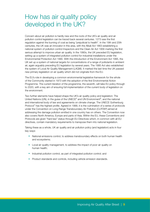## How has air quality policy developed in the UK?

Concern about air pollution is hardly new and the roots of the UK's air quality and air pollution control legislation can be traced back several centuries. 1273 saw the first regulation against the burning of coal as being "prejudicial to health". In the 19th and 20th centuries, the UK was an innovator in this area, with the Alkali Act 1863 establishing a national system of pollution control Inspectors and the Clean Air Act 1956 marking the first serious attempt to improve urban air quality. In the 1990s, the UK preceded EU legislation, setting up a system of integrated pollution control for industrial installations under the Environmental Protection Act 1990. With the introduction of the Environment Act 1995, the UK set up a system of national targets for concentrations of a range of pollutants in ambient air, again arguably preceding EU legislation by several years. The 1995 Act also established the system of Local Air Quality Management (LAQM). It marked the last time the UK passed new primary legislation on air quality which did not originate from the EU.

The EU's role in developing a common environmental legislative framework for the whole of the Community started in 1973 with the adoption of the first Environmental Action Programme. The current iteration of the programme, the seventh, will take EU policy through to 2020, with a key aim of ensuring full implementation of the current body of legislation on the environment.

Two further elements have helped shape the UK's air quality policy and legislation: The United Nations (UN), in the guise of the UNECE<sup>5</sup> and UN Environment<sup>6</sup>, and the national and international body of law and agreements on climate change. The UNECE Gothenburg Protocol<sup>7</sup> has the highest profile. Agreed in 1999, it is the culmination of a series of protocols under the Convention on Long Range Transboundary Air Pollution (CLRTAP) aimed at addressing the damage pollution emitted in one country has on others. The Convention now also covers North America, Europe and parts of Asia. Within the EU, these Conventions and Protocols are given "hard law" status through EU Directives which, in common with all EU directives, contain mandatory requirements to transpose them into national legislation.

Taking these as a whole, UK air quality and air pollution policy (and legislation) acts in four key ways:

- National emissions control, to address transboundary effects on both human health and ecosystems;
- Local air quality management, to address the impact of poor air quality on human health;
- Industrial pollution control, as part of integrated pollution control; and
- Product standards and controls, including vehicle emission standards.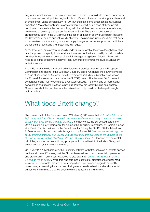Legislation which imposes duties or restrictions on bodies or individuals requires some form of enforcement and air pollution legislation is no different. However, the strength and method of enforcement varies considerably. For UK law, there are some direct sanctions, such as operating a "potentially polluting" process without a permit or a breach of those permit conditions. Local authorities not complying with their duties can, in certain circumstances, be directed to do so by the relevant Secretary of State. There is no constitutional or environmental court in the UK, although the action or inaction of any public body, including the Government, can be subject to judicial review. The presiding judge can direct that body to undertake corrective action; failure to comply is regarded as contempt of court which can attract criminal sanctions and, potentially, damages.

At the local level, enforcement is usually undertaken by local authorities although they often lack the power or capacity to undertake enforcement action for air quality provisions. While not directly related to membership of the EU, changes in legislation following Brexit will need to take into account the ability of local authorities to enforce measures such as low emission zones.

At the EU level, there is a well-defined enforcement process, initiated by the European Commission and ending in the European Court of Justice, which has the power to impose a range of sanctions on Member State Governments, including substantial fines. Above the EU level, for example in relation to the CLRTAP, there is little by way of enforcement, compliance being mainly considered a reputational issue. The provisions of international conventions and treaties like the Gothenburg Protocol are legally binding on signatory Governments but it is not clear whether failure to comply could be challenged through judicial review.

### What does Brexit change?

The current draft of the European Union (Withdrawal) Bill<sup>8</sup> states that "EU-derived domestic *legislation, as it has effect in domestic law immediately before exit day, continues to have effect in domestic law on and after exit day"*. In other words, the EU-derived part of the UK's suite of air quality legislation, for example the air quality limit values, will remain in place after Brexit. This is confirmed in the Department for Exiting the EU (DExEU) Factsheet No. 8: Environmental Protections<sup>9</sup>, which says that the Repeal Bill *"will convert the existing body of EU environmental law into UK law, making sure the same protections are in place in the UK and laws still function effectively after the UK leaves the EU".* However, environmental principles, such as the precautionary principle which is written into the Lisbon Treaty, will not be carried over as things currently stand.

On 21 July 2017, Michael Gove, the Secretary of State for Defra, delivered a keynote speech on the environment<sup>10</sup>, saying that the EU has been a driver of environmental improvement and protection in many areas. However, he also said that *"outside the European Union, we can do much better"*. While this was said in the context of emissions testing for road vehicles, i.e. Dieselgate, it is worth examining where else we could upgrade air quality protections, accelerating improvement, linking more closely to health and environmental outcomes and making the whole structure more transparent and efficient.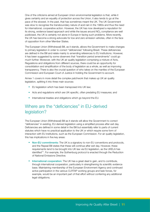One of the criticisms aimed at European Union environmental legislation is that, while it gives certainty and an equality of protection across the Union, it also tends to go at the pace of the slowest. In the past, that has sometimes meant the UK. The UK Government was slow to recognise the transboundary nature of acid rain in the 1980s and thus the need for international, cooperative action. However, the UK has now developed a reputation for its strong, evidence based approach and while the issues around  $NO<sub>2</sub>$  compliance are well publicised, the UK is certainly not alone in Europe in facing such problems. More recently, the UK has become a strong advocate for low and zero emission vehicles, often in the face of opposition from other Member States.

The European Union (Withdrawal) Bill, as it stands, allows the Government to make changes to primary legislation in order to correct "deficiencies" following Brexit. These deficiencies are defined in the Bill and relate mainly to amending references to EU institutions. However, it has been suggested by some observers that "transition period amendments" could go much further. Moreover, with the UK air quality legislation comprising a mixture of Acts, Regulations and obligations from different sources, there could be an opportunity for consolidation and simplification of the body of legislation as a whole, as well as improving transparency. There is also the crucial question of who takes on the mantles of the European Commission and European Court of Justice in holding the Government to account.

Annex 1 covers in more detail the complex patchwork that makes up UK air quality legislation, splitting it into three main sources:

- EU legislation which has been transposed into UK law;
- Acts and regulations which are UK-specific, often predating EU measures; and
- International treaties and obligations which go beyond the EU.

#### Where are the "deficiencies" in EU-derived legislation?

The European Union (Withdrawal) Bill as it stands will allow the Government to correct "deficiencies" in existing, EU-derived legislation using a simplified process after exit day. Deficiencies are defined in some detail in the Bill but essentially refer to parts of current statutes which have no practical application to the UK or which require some form of interaction with EU institutions, such as the European Commission. For air quality legislation, this has implications in five key areas:

- Non-EU commitments: The UK is a signatory to non-EU conventions and protocols, and the Repeal Bill states that these will continue after exit day. However, these requirements tend to be brought into UK law via EU legislation, as the UKELA has identified<sup>11</sup>. For example, the Gothenburg protocol is enacted through the Reduction of National Emissions Directive;
- International cooperation: The UK has a great deal to gain, and to contribute, through international cooperation, particularly in strengthening its scientific evidence base. Maintaining membership of the European Environment Agency and continued active participation in the various CLRTAP working groups and task forces, for example, would be an important part of that effort without conferring any additional legal obligations;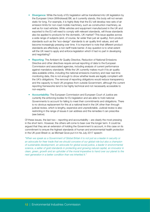- **Divergence:** While the body of EU legislation will be transferred into UK legislation by the European Union (Withdrawal) Bill, as it currently stands, this body will not remain static for long. For example, it is highly likely that the EU will develop new sets of air emission limits for non-road mobile machinery, such as construction machinery, as well as for road vehicles. While vehicles and equipment manufactured in the UK and exported to the EU will need to comply with relevant standards, will those standards also be applied to products for the domestic, UK market? This issue applies across a wide range of subjects (and, of course, far wider than just air quality), from product standards such as the "eco-design" standards to air quality limit values, and will become increasingly pressing over time. It is important to note that different product standards are effectively a non-tariff trade barrier. A key question is to what extent will the UK need to apply and enforce legislation which it had no part in developing and negotiating?
- **Reporting: The Ambient Air Quality Directive, Reduction of National Emissions** Directive and other directives require annual reporting of data to the European Commission and associated agencies, including analysis of current performance against mandatory standards. While the UK currently makes much if its air quality data available online, including the national emissions inventory and near real-time monitoring data, this is not enough to show whether levels are legally compliant with the UK's obligations. The removal of reporting obligations would reduce transparency and the capacity to track UK progress from outside Government, although the current reporting frameworks tend to be highly technical and not necessarily accessible to non-experts;
- Accountability: The European Commission and European Court of Justice are currently the enforcing bodies for EU legislation and are able to hold national Governments to account for failing to meet their commitments and obligations. There is no obvious replacement for this at a national level in the UK other than through judicial review, which is lengthy, expensive and unpredictable. Judicial review is also restricting in the range of issues it can address and the remedies it can prescribe (see below).

Of these issues, the last two – reporting and accountability – are clearly the most pressing in the short term. However, the others will come to bear over the longer term. It could be argued that they are an extension of holding the Government to account, in this case on its commitment to ensure the highest standards of human and environmental health protection in the UK post-Brexit or, as Michael Gove put it in his July 2017 speech:

*"When we speak as a Government of Global Britain it is not just as a leader in security or an advocate for freer trade that we should conceive of our global role but also a champion of sustainable development, an advocate for global social justice, a leader in environmental science, a setter of gold standards in protecting and growing natural capital, an innovator in clean, green, growth and an upholder of the moral imperative to hand over our planet to the next generation in a better condition than we inherited it."*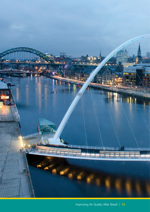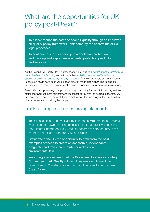### What are the opportunities for UK policy post-Brexit?

To further reduce the costs of poor air quality through an improved air quality policy framework unhindered by the constraints of EU legal processes.

To continue to show leadership in air pollution protection and develop and export environmental protection products and services.

As the National Air Quality Plan<sup>12</sup> notes, poor air quality is *"the largest environmental risk to public health in the UK"*. It goes on to note that *"in 2012, poor air quality had a total cost of up to £2.7 billion through its impact on productivity"*13; the social costs of poor air quality impacts on health have been valued at an order of magnitude higher. The rationale for intervention, the reason for Government policy development, on air quality remains strong.

Brexit offers an opportunity to improve the air quality policy framework in the UK, to drive faster improvement more efficiently and reconnect policy with the desired outcomes, i.e. improved public and environmental health protection. Here we suggest four key building blocks necessary for making this happen.

#### Tracking progress and enforcing standards

The UK has already shown leadership in one environmental policy area which can be drawn on for a partial solution for air quality. In passing the Climate Change Act 2008, the UK became the first country in the world to set a legal target for GHG emissions.

Brexit offers the UK the opportunity to draw from the best examples of these to create an accessible, independent, pragmatic and transparent route for redress on environmental law.

We strongly recommend that the Government set up a statutory Committee on Air Quality with functions mirroring those of the Committee on Climate Change. This could be done through a new Clean Air Act.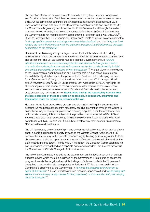The question of how the enforcement role currently held by the European Commission and Court is replaced after Brexit has become one of the central issues for environmental policy. Unlike some other countries, the UK does not have a constitutional court i.e. a body whose purpose is to ensure the Government complies with its own laws. In the UK, the Government is generally held to account both by Parliament and through the system of judicial review, whereby anyone can put a case before the High Court if they feel that the Government is not meeting its own commitments or acting in some way unlawfully<sup>14</sup>. DExEU's Factsheet No. 8: Environmental Protections<sup>15</sup> points to judicial review as central to *"a strong legal framework for enforcing environmental protections"* and that *"it is, and it will remain, the role of Parliament to hold the executive to account, and Parliament is ultimately accountable to the electorate"*.

However, it has been argued by the legal community that this falls short of providing sufficient scrutiny and accountability for the Government on its environmental commitments and obligations. The UK Bar Council has said that the Government should *"Ensure effective enforcement of environmental protection and standards through the creation of an effective, independent domestic enforcement mechanism, underpinned by judicial oversight and availability of sanctions for non-compliance"*16. Michael Gove, in his evidence to the Environmental Audit Committee on 1 November 2017 also called into question the suitability of judicial review as the principle form of redress, acknowledging the need for a "Commission like" body to hold the Government to account<sup>17</sup>. In its report *Brexit and Environmental Law*18, the UK Environmental Law Association (UKELA) highlights the shortcomings of judicial review as the sole mechanism for redress on the environment and provides an analysis of environmental Courts and Ombudsmen implemented and used successfully across the world. Brexit offers the UK the opportunity to draw from the best examples of these to create an accessible, independent, pragmatic and transparent route for redress on environmental law.

However, formal legal proceedings are only one element of holding the Government to account. As has been seen recently, repeatedly seeking intervention through the Courts is an inefficient way of raising complaints and resolving disputes, albeit the only formal one which exists currently. It is also subject to the priorities of environmental NGOs: if Client Earth had not taken legal proceedings against the Government over its plans to achieve compliance with NO<sub>2</sub> Limit Values, it is doubtful whether any other national environmental NGO would have done likewise.

The UK has already shown leadership in one environmental policy area which can be drawn on for a partial solution for air quality. In passing the Climate Change Act 2008, the UK became the first country in the world to introduce legally binding national legislation to tackle climate change. It also set up an innovative system of carbon budgets which would lay the path to achieving that target. As this was UK legislation, the European Commission had no part in providing oversight and so a separate system was needed. Part 2 of the Act set up the Committee on Climate Change to fulfil this function.

The role of the Committee is to advise the Government on the 2050 target and on carbon budgets, advice which must be published by the Government. It is required to assess the progress towards the target and report its findings to Parliament, which the Government is required to respond to, also by reporting to Parliament. While the membership of the Committee is appointed by the Government, it *"is not to be regarded as the servant or agent of the Crown"*19. It can undertake its own research, appoint staff and *"do anything that appears to it necessary or appropriate for the purpose of, or in connection with, the carrying out of its functions"*<sup>20</sup>*.*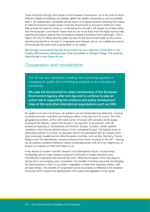These functions strongly mirror those of the European Commission, up to the point at which infraction (legal) proceedings are initiated, albeit with greater transparency and accessibility built in. An independent, accessible annual report on progress towards achieving limit values or national emissions targets doesn't hold the Government to account in itself but it does help provide the basis for doing so. Undertaking this through a UK-based Committee rather than the European Commission means that we can move away from the highly technocratic reporting procedure used by the Commission towards something more meaningful. This is helpful not only for NGOs and the public but also for the Government itself, as the current reporting framework is not easy to understand and interpret, and so not suitable as a tool to communicate the action that is being taken on air quality.

We strongly recommend that the Government set up a statutory Committee on Air Quality with functions mirroring those of the Committee on Climate Change. This could be done through a new Clean Air Act.

#### Cooperation and coordination

The UK has also developed a leading role in providing expertise in managing air quality and controlling air pollution to the international community.

We urge the Government to retain membership of the European Environment Agency after exit day and to continue to play an active role in supporting the evidence and policy development roles of this and other international organisations such as CEN.

Air quality is not just a local issue. Air pollution can be transported long distances, crossing countries and even continents and having an effect a long way from its source. The UK's geographical position, at the north-west corner of Europe with prevailing winds largely coming off the Atlantic, means that we are a "net exporter" of air pollution, with UK emissions impacting on Scandinavia and Northern Europe. However, certain weather conditions mean that air pollution blows in from continental Europe. The highest levels of particulate pollution in London, for example, tend to be associated with air masses which have previously travelled across other European countries, such as Italy, Germany, France, Belgium and The Netherlands, carrying emissions from those countries to the  $UK<sup>21</sup>$ . Solving our air pollution problems therefore means coordinated action with all of our neighbours, to reduce our impacts on them and theirs on us.

A key feature of modern scientific research is its international nature. It is becoming increasingly rare for major research projects to be limited to single institutions and international cooperation has become the norm. While the European Union has played a strong role in encouraging such cooperation, the benefits of sharing resources and bringing the best expertise to bear on a problem, regardless of where that expertise resides, offer stronger drivers. The benefits of cooperation across boundaries is reflected in the evidence structures which support the development of EU policy and legislation on air quality.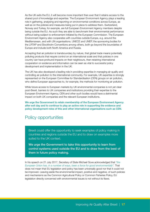As the UK exits the EU, it will become more important than ever that it retains access to the shared pool of knowledge and expertise. The European Environment Agency plays a leading role in gathering, analysing and reporting on environmental conditions across Europe, as well as on the policies and measures being put in place to address them. Switzerland, Norway and Turkey, for example, are full European Environment Agency members despite being outside the EU. As such they are able to benchmark their environmental performance without being subject to enforcement initiated by the European Commission. The European Environment Agency also cooperates with countries outside Europe, e.g. around the Mediterranean, and with UN organisations. UNECE and UNEP, the sponsoring bodies for the LRTAP and Stockholm Conventions among others, both go beyond the boundaries of Europe and include both North America and Russia.

Accepting that air pollution is transboundary by nature, that global trade means potentially polluting products that require control on an international scale and that policies in one country can have profound impacts on their neighbours, then retaining international cooperation on evidence and information can be seen as vital to successful policy development and implementation in the UK.

The UK has also developed a leading role in providing expertise in managing air quality and controlling air pollution to the international community. For example, UK expertise is strongly represented on the European Committee for Standardisation (CEN) groups on air pollution, who define European approaches to, for example, the methods for monitoring air pollution.

While future access to European markets by UK environmental companies is not yet clear post-Brexit, barriers to UK companies and institutions providing their expertise to the European Environment Agency, CEN and other such bodies would have a detrimental impact on both UK companies and the relevant European institutions.

We urge the Government to retain membership of the European Environment Agency after exit day and to continue to play an active role in supporting the evidence and policy development roles of this and other international organisations such as CEN.

#### Policy opportunities

Brexit could offer the opportunity to seek examples of policy making in countries and regions outside the EU and to draw on examples more suited to the UK context.

We urge the Government to take this opportunity to learn from control systems used outside the EU and to draw from the best of them in future policy making.

In his speech on 21 July 2017, Secretary of State Michael Gove acknowledged that *"the European Union has, in a number of ways, been a force for good environmentally"*. That does not mean that EU legislation and policy has been universally good nor that it could not be improved. Leaving aside the environmental impact, positive and negative, of such policies and mechanisms as the Common Agricultural Policy or Common Fisheries Policy, EU legislation directly concerned with environmental issues is not without its flaws.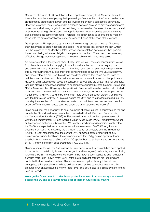One of the strengths of EU legislation is that it applies commonly to all Member States. In theory this provides a level playing field, preventing a "race to the bottom" as countries relax environmental protection to attract external investment or gain a competitive advantage. However, legislation must always strike a balance between seeking to provide environmental protection and allowing targets to be stretching but achievable. Because of economic, social or environmental (e.g. climatic and geographic) factors, not all countries start at the same place and face the same challenges. Therefore, legislation tends to be influenced more by those with the greatest challenge; put simplistically, it goes at the pace of the slowest.

Development of EU legislation, by its nature, involves a high degree of inertia. Directives often take years to draft, negotiate and agree. The concepts they contain are then written into the legislation of all Member States, whose implementation systems are then geared towards achieving whatever obligations are placed upon them. Therefore, it becomes very difficult to change those concepts and innovative policy making becomes stifled.

An example of this is the system of Air Quality Limit Values. These are concentration values for pollutants in ambient air, applying to locations where the public is routinely exposed and averaged over a given time period. While they have been a useful tool to help drive air quality improvements, they also imply that concentrations above the limit value are harmful and those below are not. Health evidence has demonstrated that this is not the case for pollutants such as fine particulate matter or ozone, and may not be so for other pollutants. However, Limit Values are an accepted concept in Europe and are written into, for example, land use planning processes and tend to be strongly supported by both Member States and NGOs. Moreover, the UK's geographic position in Europe, with weather systems dominated by Atlantic south westerly winds, means that annual average concentrations for particulate matter (PM<sub>10</sub> and PM<sub>2.5</sub>) tend to be lower than more central European states. Compliance with the limit values for  $PM_{10}$  is universal across the UK<sup>22</sup> and thus measures to reduce PM, probably the most harmful of the standard suite of air pollutants, are de-prioritised despite evidence<sup>23</sup> that health impacts continue below the Limit Value concentrations<sup>24</sup>.

Brexit could offer the opportunity to seek examples of policy making in countries and regions outside the EU and to draw on examples more suited to the UK context. For example, the Canada-wide Standards (CWS) for Particulate Matter include the implementation of Continuous Improvement (CI) and Keeping-Clean-Areas-Clean (KCAC) programmes where ambient concentrations are below the CWS levels. Jurisdictions with ambient levels below the CWSs are expected to focus implementation measures on CI/KCAC. A guidance document on CI/KCAC issued by the Canadian Council of Ministers and the Environment (CCME) in 2007 recognises that the current CWS numerical targets "may not be fully protective" of human health and the environment and that  $PM<sub>2.5</sub>$  has no apparent lower threshold for adverse health effects. CI/KCAC applies both to emissions and concentrations of PM<sub>2.5</sub> and the emission of its precursors (NO<sub>X</sub>, SO<sub>2</sub>, NH<sub>3</sub>).

Closer to home, the As Low As Reasonably Practicable (ALARP) approach has been applied to the control of certain highly toxic (carcinogenic and teratogenic) pollutants, such as dioxin, furans and PCBs. Atmospheric concentration limits haven't been applied to such pollutants because there is no known "safe" level. Instead, all significant sources are identified and controlled to their maximum extent. There is no reason in principle why this could not be applied, either partially or wholly, to pollutants such as fine particulate matter and its precursors which also have no known "safe" level. This could lead to a similar system to that used in Canada.

We urge the Government to take this opportunity to learn from control systems used outside the EU and to draw from the best of them in future policy making.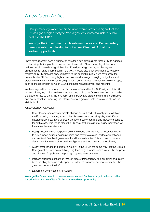#### A new Clean Air Act

New primary legislation for air pollution would provide a signal that the UK assigns a high priority to "the largest environmental risk to public health in the UK"25.

We urge the Government to devote resources and Parliamentary time towards the introduction of a new Clean Air Act at the earliest opportunity.

There have, recently, been a number of calls for a new clean air act for the UK, to address modern air pollution problems. We support those calls. New primary legislation for air pollution would provide a signal that the UK assigns a high priority to "the largest environmental risk to public health in the UK". It would also offer clear benefits to policy makers, to UK businesses and, ultimately, to the general public. As we have seen, the current body of UK air quality legislation covers a wide range of varying obligations and statutes with many parts outdated, e.g. Smoke Control Areas, and some significant gaps, such as the disconnect between LAQM and national assessment and reporting.

We have argued for the introduction of a statutory Committee for Air Quality and this will require primary legislation. In developing such legislation, the Government could also seize the opportunities to clarify the long-term aim of policy and create a streamlined legislative and policy structure, reducing the total number of legislative instruments currently on the statute book.

A new Clean Air Act could:

- Offer closer alignment with climate change policy: freed of the obligation to follow the EU's policy structure, which splits climate change and air quality, the UK could develop a fully integrated approach, reducing policy conflicts and increasing benefits for both areas. This would place the UK back at the forefront of policy innovation for the atmospheric environment;
- Realign local and national policy: allow the efforts and expertise of local authorities to fully support national action planning and move to a closer partnership between national (and Devolved) government and local authorities. This will need to include clarity on enforcement of air quality obligations and restrictions at a local level;
- Clearly state long term goals for air quality in the UK, in the same way that the Climate Change Act did, setting stretching long-term targets which communicate the purpose and direction for policy and reporting progress towards them;
- Increase business confidence through greater transparency and simplicity, and clarify both the obligations on and opportunities for UK business, helping to stimulate the green economy in the UK;
- **•** Establish a Committee on Air Quality.

We urge the Government to devote resources and Parliamentary time towards the introduction of a new Clean Air Act at the earliest opportunity.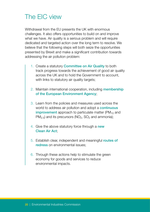# The EIC view

Withdrawal from the EU presents the UK with enormous challenges. It also offers opportunities to build on and improve what we have. Air quality is a serious problem and will require dedicated and targeted action over the long term to resolve. We believe that the following steps will both seize the opportunities presented by Brexit and make a significant contribution towards addressing the air pollution problem:

- 1. Create a statutory Committee on Air Quality to both track progress towards the achievement of good air quality across the UK and to hold the Government to account, with links to statutory air quality targets;
- 2. Maintain international cooperation, including membership of the European Environment Agency;
- 3. Learn from the policies and measures used across the world to address air pollution and adopt a **continuous improvement** approach to particulate matter ( $PM_{10}$  and  $PM_{2.5}$ ) and its precursors ( $NO<sub>2</sub>$ ,  $SO<sub>2</sub>$  and ammonia);
- 4. Give the above statutory force through a new Clean Air Act;
- 5. Establish clear, independent and meaningful routes of redress on environmental issues;
- 6. Through these actions help to stimulate the green economy for goods and services to reduce environmental impacts.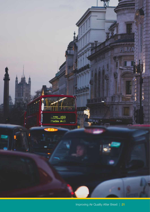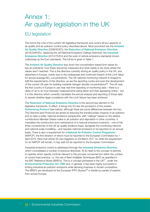## Annex 1: Air quality legislation in the UK

#### EU legislation

This forms the core of the current UK legislative framework and covers all four aspects of air quality and air pollution control policy described above. Most prominent are the **Ambient** Air Quality Directive (2008/50/EC), the Reduction of National Emissions Directive (2016/2284/EU, replacing the old National Emissions Ceilings Directive), the Industrial Emissions Directive (2010/75/EU) and the suite of vehicle emissions standards known collectively as the Euro standards. The full list is given in Table 1.

The Ambient Air Quality Directive lays down the concentration based limit values for key air pollutants, how these should be measured and what needs to be done where the values aren't reached. This is the directive currently driving air quality policy in the UK, and elsewhere in Europe, mainly due to the widespread and continued breach of the Limit Value for annual average  $NO<sub>2</sub>$  concentrations. The UK national monitoring network is shaped to fulfil the requirements of this directive, as are the reporting cycles and even the development of the current UK plan for tackling roadside nitrogen dioxide concentrations<sup>26</sup>. The UK was the first country in Europe to use near real time reporting of monitoring data – there is a delay of up to an hour between measurements being taken and their appearing online – but it is this directive which currently mandates the annual analysis and reporting of those data to assess whether legal compliance with the Limit Values has been achieved.

The Reduction of National Emissions Directive is the second key element in the legislative framework. In effect, it brings into EU law the provisions of the revised Gothenburg Protocol (see below), although there are some differences between the two. The Directive (and Protocol) are aimed at reducing the transboundary impacts of air pollution and so take a wider, national emissions perspective, with "ceilings" based on the relative contributions Member States make to air pollution and deposition in other countries. It mandates the construction and maintenance of a national emissions inventory – one of the three cornerstones of the UK air quality evidence base, alongside the monitoring network and national scale modelling – and requires national emissions to be reported on an annual basis. There is also a requirement for a National Air Pollution Control Programme (NAPCP), the first iteration of which must be reported to the European Commission by 1 April 2019. Note that Article 50 was triggered on 29 March 2017 so while the requirement for an NAPCP will remain, it may well not be reported to the European Commission.

Industrial emissions control is addressed through the Industrial Emissions Directive, which consolidated a number of previous directives. At its heart is the concept of permits to operate which specify controls relevant to the process concerned but within the context of current best practice, i.e. the use of Best Available Techniques (BAT) as specified in the BAT Reference Notes (BREFs). This is a concept pioneered in the  $UK^{27}$ , under the Environmental Protection Act 1990 and, in general, it has been highly successful in limiting industrial air pollution emissions while allowing business to remain competitive. The BREFs are developed at the European IPPC Bureau<sup>28</sup> in Seville by panels of experts from across Europe.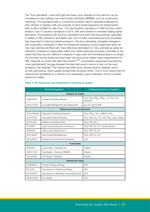The "Euro standards" cover both light and heavy-duty vehicles on the road but can be considered to also address non-road mobile machinery (NRMM), such as construction machinery. The standards refer to a maximum emission rate for specified pollutants for new vehicles or engines, with one example of each model required to be tested before that model is certified for sale. Euro 1 for cars became mandatory in 1992 and the current iteration, Euro 6, became mandatory in 2014, with each iteration in between setting tighter standards. The problems with the Euro standards have been well documented, especially in relation to  $NO<sub>x</sub>$  emissions and diesel cars, but it is often overlooked just how successful they have been in reducing vehicle emissions. The Euro standards, alongside changes to fuel composition necessary to allow the advanced emissions control equipment which all new road vehicles are fitted with, have effectively eliminated CO,  $SO<sub>2</sub>$  and lead as urban air pollutants. Emissions of particulate matter from diesel exhausts have been controlled to the extent that they are very difficult to measure in mass units and the exhaust pipe is no longer the dominant source (brake and type wear can produce far higher mass measurements of PM). However, as recent test data have shown<sup>29 30</sup>, as emissions equipment has become more sophisticated, the gap between the best and worst in terms of real, on-the-road emissions, has widened. This means that while some vehicles perform relatively well in on-the-road testing, others greatly exceed their emissions limits. This in turns means that the relevant Euro standards for a vehicle is not necessarily a good indication of how a vehicle performs in reality.

| <b>Directive/Requlation</b>            |                                                | <b>Pollutants/Substance Requlated</b>                                                                        |  |
|----------------------------------------|------------------------------------------------|--------------------------------------------------------------------------------------------------------------|--|
| <b>Ambient Air Quality</b>             |                                                |                                                                                                              |  |
| 2008/50/EC                             | <b>Ambient Air Quality Directive</b>           | $NO_x$ , NO <sub>2</sub> , PM <sub>10</sub> , PM <sub>25</sub> , CO, SO <sub>2</sub> , Pb,<br><b>Benzene</b> |  |
| 2004/107/EC                            | Air Quality Management and Assessment          | As, Cd, Hg, Ni, BaP                                                                                          |  |
| <b>National and Sectoral Emissions</b> |                                                |                                                                                                              |  |
| 2016/2284/EU                           | <b>Reduction of National Emissions</b>         | $NOx$ , PM <sub>2.5</sub> , SO <sub>2</sub> , NMVOC, NH <sub>3</sub>                                         |  |
| 2010/75/EU                             | Industrial Emissions Directive                 | NO <sub>x</sub> , PM, SO <sub>2</sub> , CO, VOC, NH <sub>3</sub> , heavy metals                              |  |
| 2015/2193                              | <b>Medium Combustion Plant</b>                 | $NOx$ , PM, $SO2$                                                                                            |  |
| 715/2007                               | Light-duty vehicles Euro 5 and Euro 6          | NO <sub>x</sub> , PM, CO, HC, Particle Number                                                                |  |
| 595/2009                               | Heavy-duty vehicles Euro VI                    | $NOx$ , PM, CO, HC                                                                                           |  |
| 2012/46/EU                             | Non Road Mobile Machinery                      | $NOx$ , PM, CO, HC                                                                                           |  |
| 2004/42/EC                             | Emissions from Paints and Varnishes            | <b>VOC</b>                                                                                                   |  |
| <b>Fuel Quality</b>                    |                                                |                                                                                                              |  |
| 99/32/EC                               | Liquid Fuels - Industrial Use                  | Sulphur                                                                                                      |  |
| 2003/17/EC                             | Fuel Quality - Road and NRMM                   | Sulphur                                                                                                      |  |
| 2012/33/EU                             | Fuel Quality - Shipping                        | Sulphur                                                                                                      |  |
| <b>Greenhouse Gases</b>                |                                                |                                                                                                              |  |
| 2009/28/EC                             | Climate Change & Energy                        | N/A                                                                                                          |  |
| EC 2030                                | Framework for Climate and Energy               | N/A                                                                                                          |  |
| 2014/94/EU                             | Deployment of Alternative Fuels Infrastructure | N/A                                                                                                          |  |
| 2009/125/EC                            | Eco-design                                     | N/A                                                                                                          |  |

#### Table 1: EU Directives and Regulations covering air quality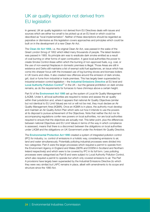### UK air quality legislation not derived from EU legislation

In general, UK air quality legislation not derived from EU Directives deals with issues and sources which are either too small to be picked up at an EU level or which could be described as "local implementation". Neither of these descriptions should be regarded as pejorative or dismissive as this legislation covers approaches and principles which could be built on in the development of a new Clean Air Act.

The Clean Air Act 1956, i.e. the original Clean Air Act, was passed in the wake of the Great London Smog of 1952 which killed many thousands of people. The latest iteration was passed in 1993. Its principle aim was to eradicate dark smoke emitted as a result of coal burning or other forms of open combustion. It gave local authorities the power to create Smoke Control Areas within which the burning of non-approved fuels, e.g. coal, or the use of non-exempt fireplaces in domestic premises is illegal. Those Areas are still in existence and Defra still maintains a list of exempt solid fuel appliances, an issue which has come into sharper focus with the increased use of log burning stoves and biomass boilers in UK towns and cities. It also created new offences around the emission of dark smoke, grit, dust or fume from industrial or trade premises. This has largely been superseded by industrial emission control legislation – the Industrial Emissions Directive at EU level and **Local Authority Pollution Control**<sup>31</sup> in the UK – but the general prohibition on dark smoke remains, as do the requirements for furnaces to have chimneys above a certain height.

Part IV of the Environment Act 1995 set up the system of Local Air Quality Management (LAQM). Under it, all local authorities are required to review and assess the air quality within their jurisdiction and, where it appears that national Air Quality Objectives (similar but not identical to EU Limit Values) are not or will not be met, they must declare an Air Quality Management Area (AQMA). Once an AQMA is in place, the authority must develop and maintain an Air Quality Action Plan which sets out how it intends to use the powers at its disposal to pursue achievement of the Objectives. Note that neither the Act nor its accompanying regulations confer new powers on local authorities, nor are local authorities required to ensure that the objectives are actually met. This latter point, plus the differences between national Objectives and EU Limit Values in terms of the way in which compliance is assessed, means that there is a disconnect between the obligations on local authorities under LAQM and the obligations on UK Government under the Ambient Air Quality Directive.

The **Environmental Protection Act 1990** created a system of integrated pollution control (IPC) for industry, i.e. control of emissions in a holistic way, considering emissions to air, land and water simultaneously. Potentially polluting industrial processes were divided into two categories: Part A were the larger processes which required a permit to operate from the Environment Agency in England and Wales (SEPA and DOENI in Scotland and Northern Ireland respectively) and which were to be covered by IPC in its full form. Less polluting processes were categorised as Part B and were subject to Local Authority Pollution Control, which also required a permit to operate but which only covered emissions to air. The Part A provisions have largely been superseded by the Industrial Emissions Directive (to which they were very similar) but LAPC remains in place, albeit with amendments to its scope and structure since the 1990 Act.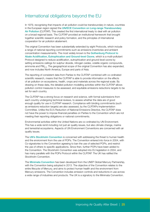#### International obligations beyond the EU

In 1979, recognising that impacts of air pollution could be transboundary in nature, countries in the European region signed the UN/ECE Convention on Long-range Transboundary Air Pollution (CLRTAP). This created the first international treaty to deal with air pollution on a broad regional basis. The CLRTAP provided an institutional framework that brought together scientific research and policy formation, and the principles of international cooperation for air pollution abatement.

The original Convention has been substantially extended by eight Protocols, which include a range of national reporting commitments such as emissions inventories and ambient concentration measurements. The most widely known is the Gothenburg Protocol to Abate Acidification, Eutrophication and Ground-level Ozone, which is a multi-pollutant Protocol designed to reduce acidification, eutrophication and ground-level ozone by setting emissions ceilings for sulphur dioxide, nitrogen oxides, volatile organic compounds, ammonia and  $PM<sub>2.5</sub>$ . The geographical scope of the original Convention has also expanded, and now includes North America, Europe and parts of Asia.

The reporting of consistent data from Parties to the CLRTAP combined with co-ordinated scientific research, means that the CLRTAP is able to provide information on the effects of air pollution on ecosystems, health, crops and materials across the regional scale. By drawing on these data, the detailed pollution modelling activities within the CLRTAP allows pollution control measures to be assessed, and equitable emissions reductions targets to be set for each country.

The CLRTAP has a strong focus on research and science, with formal submissions from each country undergoing technical reviews, to assess whether the data are of good enough quality for use in CLRTAP research. Compliance with binding commitments (such as emissions reduction targets) are also assessed, by the CLRTAPs Implementation Committee. Unlike the EU's Reduction of National Emissions Directive, the CLRTAP does not have the power to impose financial penalties on Parties to the Convention which are not meeting their reporting obligations or national commitments.

Environmental activities within the United Nations are co-ordinated by UN Environment. This has a wide remit including not just air quality issues, but also climate change, marine and terrestrial ecosystems. Aspects of UN Environment Conventions are concerned with air quality issues.

The UN's Stockholm Convention is concerned with addressing the threat to human health and the environment from the use of POPs. The Convention entered into force in 2004, with Co-signatories to the Convention agreeing to ban the use of selected POPs, and restrict the use of others to specific applications. Since then, further POPs have been added to the Convention. The Stockholm Convention was adopted into EU legislation in 2004, and has many parallels with the POPs Protocol within the CLRTAP. The UK has ratified the Stockholm Convention.

The Minimata Convention has been developed from the UNEP Global Mercury Partnership, with the Convention being adopted in 2013. The objective of the Convention relates to the entire lifecycle of Mercury, and aims to protect human health and the environment from Mercury emissions. The Convention includes emission controls and reductions in use across a wide range of industries and products. The UK is a signatory to the Minimata Convention.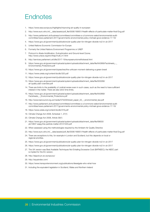### **Endnotes**

- 1. https://www.eea.europa.eu/highlights/improving-air-quality-in-european
- 2. http://www.euro.who.int/\_\_data/assets/pdf\_file/0006/189051/Health-effects-of-particulate-matter-final-Eng.pdf
- 3. http://www.parliament.uk/business/committees/committees-a-z/commons-select/environmental-auditcommittee/news-parliament-2017/governments-environmental-policy-michael-gove-evidence-17-19/
- 4. https://www.gov.uk/government/publications/air-quality-plan-for-nitrogen-dioxide-no2-in-uk-2017
- 5. United Nations Economic Commission for Europe
- 6. Formerly the United Nations Environment Programme or UNEP
- 7. Protocol to Abate Acidification, Eutrophication and Ground-level Ozone; http://www.unece.org/env/lrtap/multi\_h1.html
- 8. http://services.parliament.uk/bills/2017-19/europeanunionwithdrawal.html
- 9. https://www.gov.uk/government/uploads/system/uploads/attachment\_data/file/642869/Factsheets\_-\_ Environmental\_Protections.pdf
- 10. https://www.gov.uk/government/speeches/the-unfrozen-moment-delivering-a-green-brexit
- 11. https://www.ukela.org/content/doclib/320.pdf
- 12. https://www.gov.uk/government/publications/air-quality-plan-for-nitrogen-dioxide-no2-in-uk-2017
- 13. https://www.gov.uk/government/uploads/system/uploads/attachment\_data/file/633269/ air-quality-plan-overview.pdf
- 14. There are limits to the availability of Judicial review even in such cases, such as the need to have sufficient interest in the matter. There are also strict time limits.
- 15. https://www.gov.uk/government/uploads/system/uploads/attachment\_data/file/642869/ Factsheets - Environmental Protections.pdf
- 16. http://www.barcouncil.org.uk/media/575229/brexit\_paper\_22\_-\_environmental\_law.pdf
- 17. http://www.parliament.uk/business/committees/committees-a-z/commons-select/environmental-auditcommittee/news-parliament-2017/governments-environmental-policy-michael-gove-evidence-17-19/
- 18. https://www.ukela.org/content/doclib/316.pdf
- 19. Climate Change Act 2008, Schedule 1, 27(1)
- 20. Climate Change Act 2008, Article 39(1)
- 21. https://www.gov.uk/government/uploads/system/uploads/attachment\_data/file/69635/ pb13837-aqeg-fine-particle-matter-20121220.pdf
- 22. When assessed using the methodologies required by the Ambient Air Quality Directive
- 23. http://www.euro.who.int/\_\_data/assets/pdf\_file/0006/189051/Health-effects-of-particulate-matter-final-Eng.pdf
- 24. There are exceptions to this, for example in London and Scotland, but this depends on local or regional priorities.
- 25. https://www.gov.uk/government/publications/air-quality-plan-for-nitrogen-dioxide-no2-in-uk-2017
- 26. https://www.gov.uk/government/publications/air-quality-plan-for-nitrogen-dioxide-no2-in-uk-2017
- 27. The UK version was Best Available Techniques Not Entailing Excessive Cost (BATNEEC); the NEEC part is implied for the EU version.
- 28. http://eippcb.jrc.ec.europa.eu/
- 29. http://equaindex.com/
- 30. https://www.transportenvironment.org/publications/dieselgate-who-what-how
- 31. Including the equivalent legislation in Scotland, Wales and Northern Ireland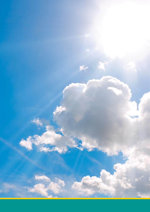